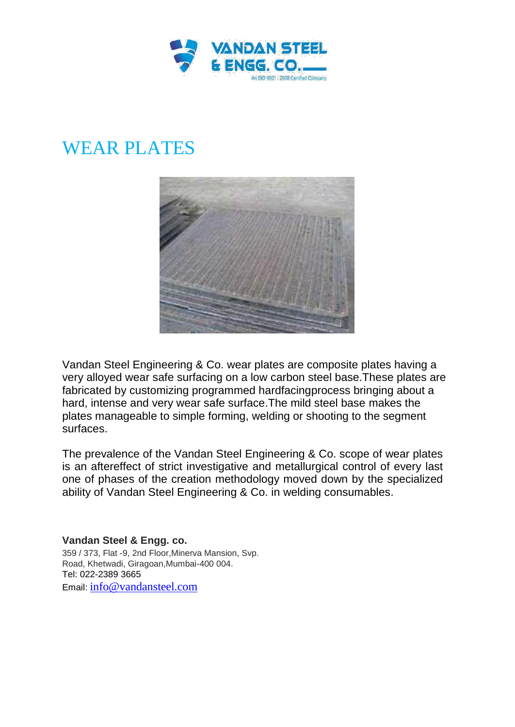

## WEAR PLATES



Vandan Steel Engineering & Co. wear plates are composite plates having a very alloyed wear safe surfacing on a low carbon steel base.These plates are fabricated by customizing programmed hardfacingprocess bringing about a hard, intense and very wear safe surface.The mild steel base makes the plates manageable to simple forming, welding or shooting to the segment surfaces.

The prevalence of the Vandan Steel Engineering & Co. scope of wear plates is an aftereffect of strict investigative and metallurgical control of every last one of phases of the creation methodology moved down by the specialized ability of Vandan Steel Engineering & Co. in welding consumables.

**Vandan Steel & Engg. co.** 359 / 373, Flat -9, 2nd Floor,Minerva Mansion, Svp. Road, Khetwadi, Giragoan,Mumbai-400 004. Tel: 022-2389 3665 Email: info@vandansteel.com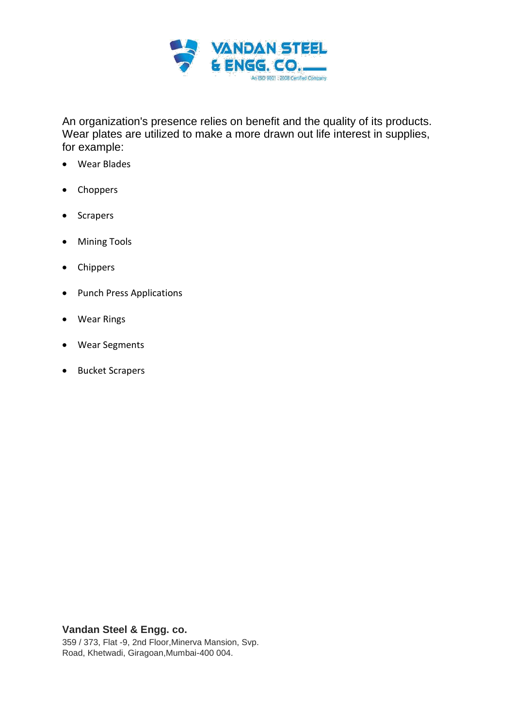

An organization's presence relies on benefit and the quality of its products. Wear plates are utilized to make a more drawn out life interest in supplies, for example:

- Wear Blades
- Choppers
- Scrapers
- Mining Tools
- Chippers
- Punch Press Applications
- Wear Rings
- Wear Segments
- Bucket Scrapers

## **Vandan Steel & Engg. co.**

359 / 373, Flat -9, 2nd Floor,Minerva Mansion, Svp. Road, Khetwadi, Giragoan,Mumbai-400 004.